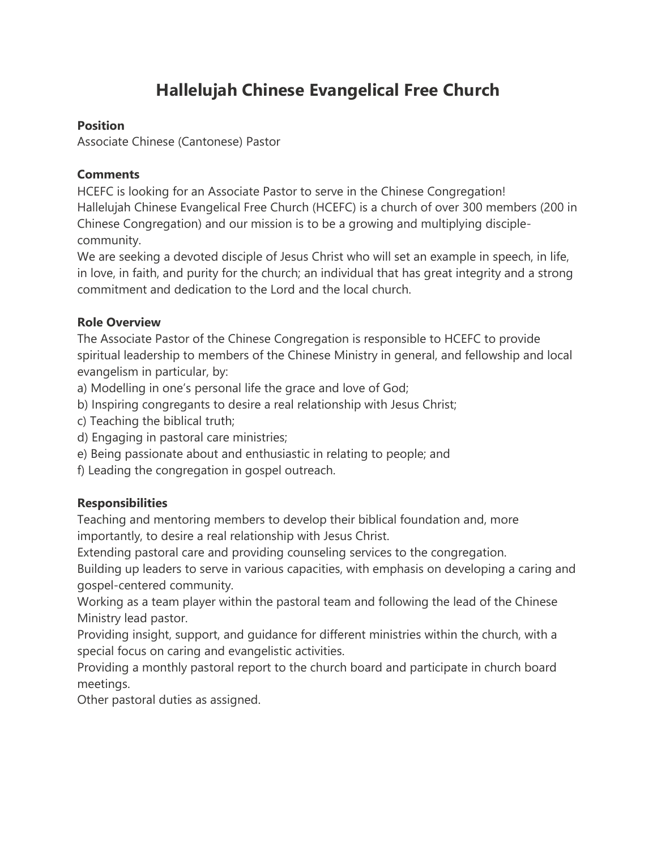# **Hallelujah Chinese Evangelical Free Church**

#### **Position**

Associate Chinese (Cantonese) Pastor

#### **Comments**

HCEFC is looking for an Associate Pastor to serve in the Chinese Congregation! Hallelujah Chinese Evangelical Free Church (HCEFC) is a church of over 300 members (200 in Chinese Congregation) and our mission is to be a growing and multiplying disciplecommunity.

We are seeking a devoted disciple of Jesus Christ who will set an example in speech, in life, in love, in faith, and purity for the church; an individual that has great integrity and a strong commitment and dedication to the Lord and the local church.

## **Role Overview**

The Associate Pastor of the Chinese Congregation is responsible to HCEFC to provide spiritual leadership to members of the Chinese Ministry in general, and fellowship and local evangelism in particular, by:

a) Modelling in one's personal life the grace and love of God;

- b) Inspiring congregants to desire a real relationship with Jesus Christ;
- c) Teaching the biblical truth;
- d) Engaging in pastoral care ministries;
- e) Being passionate about and enthusiastic in relating to people; and
- f) Leading the congregation in gospel outreach.

#### **Responsibilities**

Teaching and mentoring members to develop their biblical foundation and, more importantly, to desire a real relationship with Jesus Christ.

Extending pastoral care and providing counseling services to the congregation.

Building up leaders to serve in various capacities, with emphasis on developing a caring and gospel-centered community.

Working as a team player within the pastoral team and following the lead of the Chinese Ministry lead pastor.

Providing insight, support, and guidance for different ministries within the church, with a special focus on caring and evangelistic activities.

Providing a monthly pastoral report to the church board and participate in church board meetings.

Other pastoral duties as assigned.